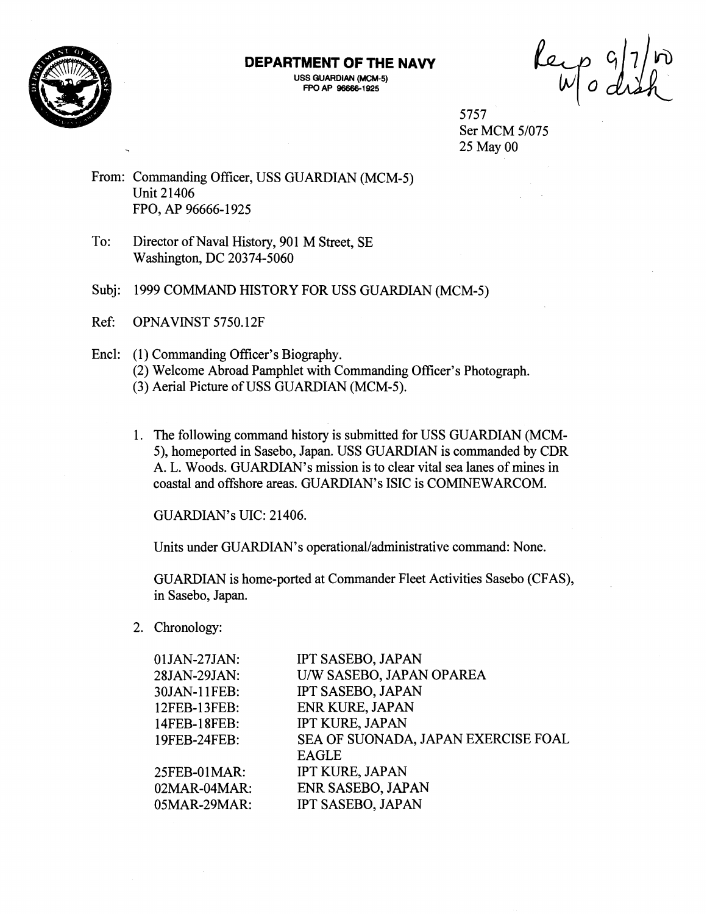

## **DEPARTMENT OF THE NAVY**

**USS GUARDIAN (MCM-5) FPO AP 966651925** 

Reip 9/7/10

5757 Ser MCM 5/075 25 May 00

- From: Commanding Officer, USS GUARDIAN (MCM-5) Unit 21406 FPO, AP 96666-1925
- To: Director of Naval History, 901 M Street, SE Washington, DC 20374-5060
- Subj: 1999 COMMAND HISTORY FOR USS GUARDIAN (MCM-5)
- Ref: OPNAVINST 5750.12F
- Encl: (1) Commanding Officer's Biography. (2) Welcome Abroad Pamphlet with Commanding Officer's Photograph. **(3)** Aerial Picture of USS GUARDIAN (MCM-5).
	- 1. The following command history is submitted for USS GUARDIAN (MCM-5), homeported in Sasebo, Japan. USS GUARDIAN is commanded by CDR A. L. Woods. GUARDIAN'S mission is to clear vital sea lanes of mines in coastal and offshore areas. GUARDIAN'S ISIC is COMINEWARCOM.

GUARDIAN's UIC: 21406.

Units under GUARDIAN'S operational/administrative command: None.

GUARDIAN is home-ported at Commander Fleet Activities Sasebo (CFAS), in Sasebo, Japan.

2. Chronology:

| $01$ JAN-27JAN: | <b>IPT SASEBO, JAPAN</b>            |
|-----------------|-------------------------------------|
| 28JAN-29JAN:    | U/W SASEBO, JAPAN OPAREA            |
| 30JAN-11FEB:    | IPT SASEBO, JAPAN                   |
| 12FEB-13FEB:    | <b>ENR KURE, JAPAN</b>              |
| 14FEB-18FEB:    | IPT KURE, JAPAN                     |
| 19FEB-24FEB:    | SEA OF SUONADA, JAPAN EXERCISE FOAL |
|                 | <b>EAGLE</b>                        |
| 25FEB-01MAR:    | <b>IPT KURE, JAPAN</b>              |
| $02MAR-04 MAR$  | ENR SASEBO, JAPAN                   |
| 05MAR-29MAR:    | <b>IPT SASEBO, JAPAN</b>            |
|                 |                                     |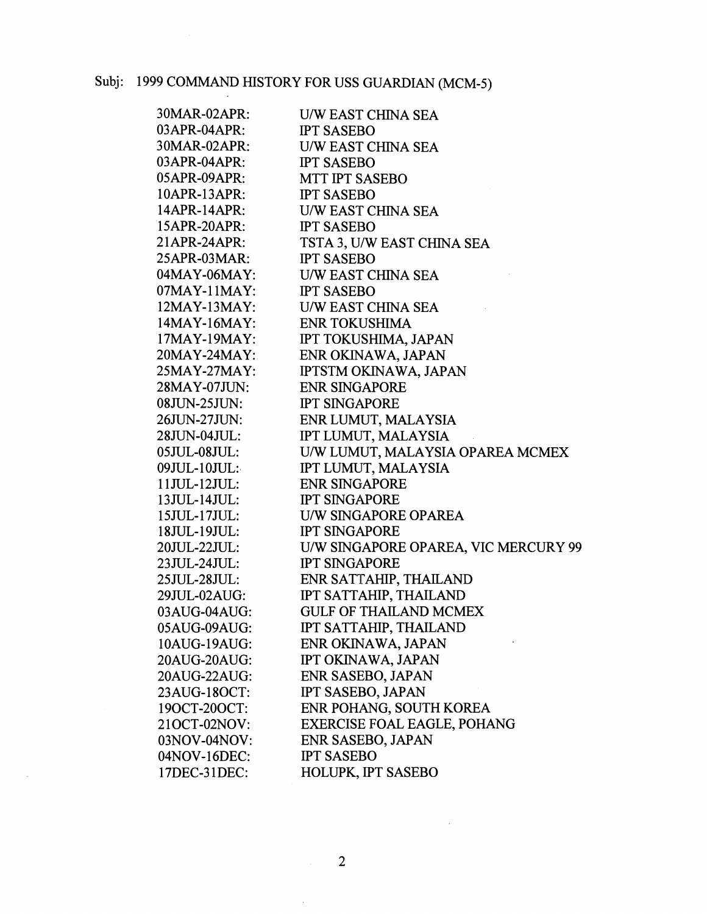| 30MAR-02APR:        | <b>U/W EAST CHINA SEA</b>            |
|---------------------|--------------------------------------|
| 03APR-04APR:        | <b>IPT SASEBO</b>                    |
| 30MAR-02APR:        | U/W EAST CHINA SEA                   |
| 03APR-04APR:        | <b>IPT SASEBO</b>                    |
| 05APR-09APR:        | MTT IPT SASEBO                       |
| 10APR-13APR:        | <b>IPT SASEBO</b>                    |
| 14APR-14APR:        | U/W EAST CHINA SEA                   |
| 15APR-20APR:        | <b>IPT SASEBO</b>                    |
| 21APR-24APR:        | TSTA 3, U/W EAST CHINA SEA           |
| 25APR-03MAR:        | <b>IPT SASEBO</b>                    |
| 04MAY-06MAY:        | <b>U/W EAST CHINA SEA</b>            |
| 07MAY-11MAY:        | <b>IPT SASEBO</b>                    |
| $12$ MAY- $13$ MAY: | U/W EAST CHINA SEA                   |
| $14$ MAY-16MAY:     | <b>ENR TOKUSHIMA</b>                 |
| $17$ MAY- $19$ MAY: | IPT TOKUSHIMA, JAPAN                 |
| 20MAY-24MAY:        | ENR OKINAWA, JAPAN                   |
| 25MAY-27MAY:        | <b>IPTSTM OKINAWA, JAPAN</b>         |
| 28MAY-07JUN:        | <b>ENR SINGAPORE</b>                 |
| $08$ JUN-25JUN:     | <b>IPT SINGAPORE</b>                 |
| 26JUN-27JUN:        | ENR LUMUT, MALAYSIA                  |
| 28JUN-04JUL:        | IPT LUMUT, MALAYSIA                  |
| $05JUL-08JUL:$      | U/W LUMUT, MALAYSIA OPAREA MCMEX     |
| $09JUL-10JUL:$      | IPT LUMUT, MALAYSIA                  |
| 11JUL-12JUL:        | <b>ENR SINGAPORE</b>                 |
| 13JUL-14JUL:        | <b>IPT SINGAPORE</b>                 |
| 15JUL-17JUL:        | U/W SINGAPORE OPAREA                 |
| 18JUL-19JUL:        | <b>IPT SINGAPORE</b>                 |
| 20JUL-22JUL:        | U/W SINGAPORE OPAREA, VIC MERCURY 99 |
| 23JUL-24JUL:        | <b>IPT SINGAPORE</b>                 |
| 25JUL-28JUL:        | ENR SATTAHIP, THAILAND               |
| 29JUL-02AUG:        | IPT SATTAHIP, THAILAND               |
| 03AUG-04AUG:        | <b>GULF OF THAILAND MCMEX</b>        |
| 05AUG-09AUG:        | IPT SATTAHIP, THAILAND               |
| 10AUG-19AUG:        | ENR OKINAWA, JAPAN                   |
| 20AUG-20AUG:        | IPT OKINAWA, JAPAN                   |
| 20AUG-22AUG:        | ENR SASEBO, JAPAN                    |
| 23AUG-18OCT:        | <b>IPT SASEBO, JAPAN</b>             |
| 190CT-200CT:        | ENR POHANG, SOUTH KOREA              |
| 210CT-02NOV:        | <b>EXERCISE FOAL EAGLE, POHANG</b>   |
| 03NOV-04NOV:        | ENR SASEBO, JAPAN                    |
| 04NOV-16DEC:        | <b>IPT SASEBO</b>                    |
| 17DEC-31DEC:        | HOLUPK, IPT SASEBO                   |

 $\ddot{\phantom{0}}$ 

 $\hat{\boldsymbol{\epsilon}}$ 

 $\sim$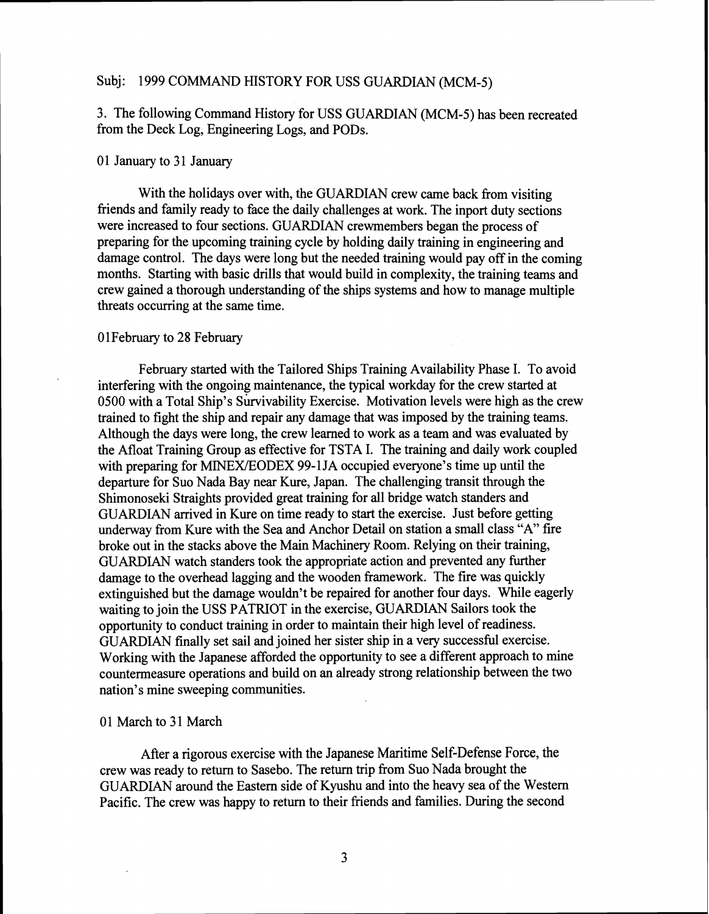3. The following Command History for USS GlJARDIAN (MCM-5) has been recreated from the Deck Log, Engineering Logs, and PODs.

## 0 1 January to **3** 1 January

With the holidays over with, the GUARDIAN crew came back from visiting friends and family ready to face the daily challenges at work. The inport duty sections were increased to four sections. GUARDIAN crewmembers began the process of preparing for the upcoming training cycle by hollding daily training in engineering and damage control. The days were long but the needed training would pay off in the coming months. Starting with basic drills that would build in complexity, the training teams and crew gained a thorough understanding of the ships systems and how to manage multiple threats occurring at the same time.

## 01 February to 28 February

February started with the Tailored Ships Training Availability Phase I. To avoid interfering with the ongoing maintenance, the typical workday for the crew started at 0500 with a Total Ship's Survivability Exercise. Motivation levels were high as the crew trained to fight the ship and repair any damage that was imposed by the training teams. Although the days were long, the crew learned to work as a team and was evaluated by the Afloat Training Group as effective for TSTA I. The training and daily work coupled with preparing for MINEX/EODEX 99-1JA occupied everyone's time up until the departure for Suo Nada Bay near Kure, Japan. The challenging transit through the Shimonoseki Straights provided great training for all bridge watch standers and GUARDIAN arrived in Kure on time ready to start the exercise. Just before getting underway from Kure with the Sea and Anchor Detail on station a sniall class **"A"** fire broke out in the stacks above the Main Machinery Room. Relying on their training, GUARDIAN watch standers took the appropriate action and prevented any further damage to the overhead lagging and the wooden framework. The fire was quickly extinguished but the damage wouldn't be repaired for another four days. While eagerly waiting to join the USS PATRIOT in the exercise, GUARDIAN Sailors took the opportunity to conduct training in order to maintain their high level of readiness. GUARDIAN finally set sail and joined her sister ship in a very successhl exercise. Working with the Japanese afforded the opportunity to see a different approach to mine countermeasure operations and build on an already strong relationship between the two nation's mine sweeping communities.

#### 01 March to 31 March

After a rigorous exercise with the Japanese Maritime Self-Defense Force, the crew was ready to return to Sasebo. The return trip from Suo Nada brought the GUARDIAN around the Eastern side of Kyushu and into the heavy sea of the Western Pacific. The crew was happy to return to their friends and families. During the second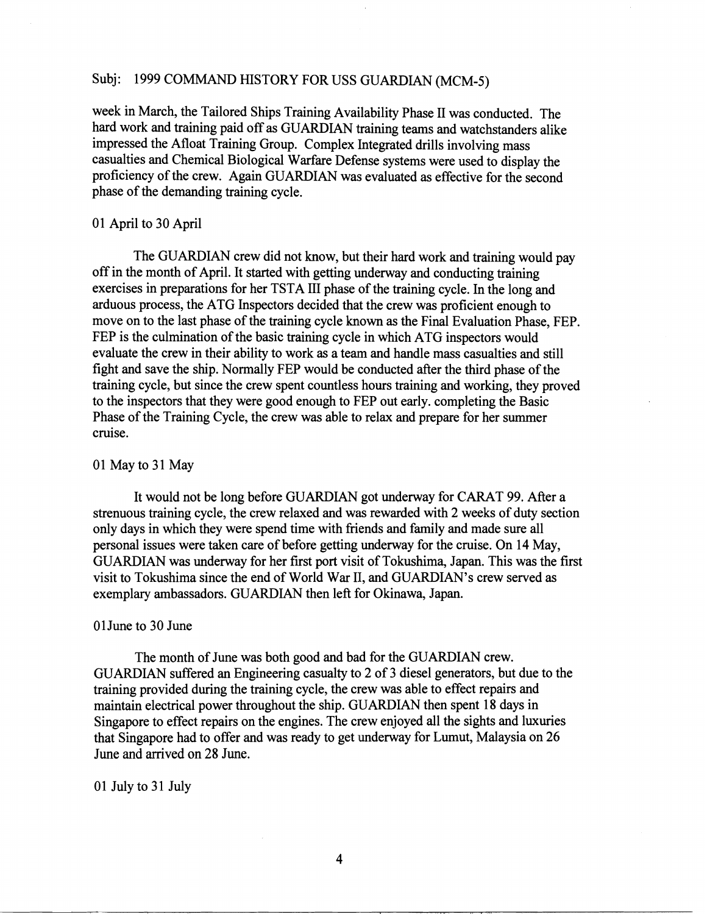week in March, the Tailored Ships Training Availability Phase I1 was conducted. The hard work and training paid off as GUARDIAN training teams and watchstanders alike impressed the Afloat Training Group. Complex Integrated drills involving mass casualties and Chemical Biological Warfare Defense systems were used to display the proficiency of the crew. Again GUARDIAN was evaluated as effective for the second phase of the demanding training cycle.

# **0 1** April to **30** April

The GUARDIAN crew did not know, but their hard work and training would pay off in the month of April. It started with getting underway and conducting training exercises in preparations for her TSTA I11 phase of the training cycle. In the long and arduous process, the ATG Inspectors decided that the crew was proficient enough to move on to the last phase of the training cycle known as the Final Evaluation Phase, FEP. FEP is the culmination of the basic training cycle in which ATG inspectors would evaluate the crew in their ability to work as a team and handle mass casualties and still fight and save the ship. Normally FEP would be conducted after the third phase of the training cycle, but since the crew spent countless hours training and working, they proved to the inspectors that they were good enough to FEP out early. completing the Basic Phase of the Training Cycle, the crew was able to relax and prepare for her summer cruise.

# **01** May to **31** May

It would not be long before GUARDIAN got underway for CARAT **99.** After a strenuous training cycle, the crew relaxed and was rewarded with 2 weeks of duty section only days in which they were spend time with friends and family and made sure all personal issues were taken care of before getting underway for the cruise. On 14 May, GUARDIAN was underway for her first port visit of Tokushima, Japan. This was the first visit to Tokushima since the end of World War 11, and GUARDIAN'S crew served as exemplary ambassadors. GUARDIAN then left for Okinawa, Japan.

## OlJune to **30** June

The month of June was both good and bad for the GUARDIAN crew. GUARDIAN suffered an Engineering casualty to 2 of **3** diesel generators, but due to the training provided during the training cycle, the crew was able to effect repairs and maintain electrical power throughout the ship. GUARDIAN then spent 18 days in Singapore to effect repairs on the engines. The crew enjoyed all the sights and luxuries that Singapore had to offer and was ready to get underway for Lumut, Malaysia on 26 June and arrived on 28 June.

#### **01** July to **3** 1 July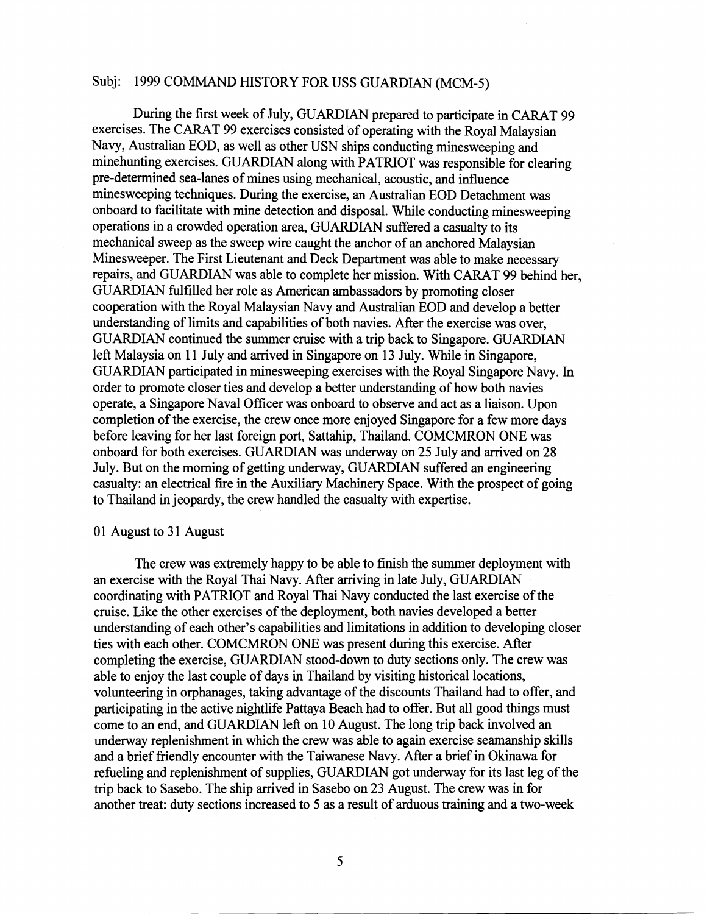During the first week of July, GUARDIAN prepared to participate in CARAT 99. exercises. The CARAT 99 exercises consisted of operating with the Royal Malaysian Navy, Australian EOD, as well as other USN ships conducting minesweeping and minehunting exercises. GUARDIAN along with PATRIOT was responsible for clearing pre-determined sea-lanes of mines using mechanical, acoustic, and influence minesweeping techniques. During the exercise, an Australian EOD Detachment was onboard to facilitate with mine detection and disposal. While conducting minesweeping operations in a crowded operation area, GUARDIAN suffered a casualty to its mechanical sweep as the sweep wire caught the anchor of an anchored Malaysian Minesweeper. The First Lieutenant and Deck Department was able to make necessary repairs, and GUARDIAN was able to complete her mission. With CARAT 99 behind her, GUARDIAN fulfilled her role as American ambassadors by promoting closer cooperation with the Royal Malaysian Navy and Australian EOD and develop a better understanding of limits and capabilities of both navies. After the exercise was over, GUARDIAN continued the summer cruise with **ia** trip back to Singapore. GUARDIAN left Malaysia on 11 July and arrived in Singapore on 13 July. While in Singapore, GUARDIAN participated in minesweeping exercises with the Royal Singapore Navy. In order to promote closer ties and develop a better understanding of how both navies operate, a Singapore Naval Officer was onboard to observe and act as a liaison. Upon completion of the exercise, the crew once more enjoyed Singapore for a few more days before leaving for her last foreign port, Sattahip, Thailand. COMCMRON ONE was onboard for both exercises. GUARDIAN was underway on 25 July and arrived on 28 July. But on the morning of getting underway, GUARDIAN suffered an engineering casualty: **an** electrical fire in the Auxiliary Machinery Space. With the prospect of going to Thailand in jeopardy, the crew handled the casualty with expertise.

#### 01 August to 31 August

The crew was extremely happy to be able to finish the summer deployment with an exercise with the Royal Thai Navy. After arriving in late July, GUARDIAN coordinating with PATRIOT and Royal Thai Navy conducted the last exercise of the cruise. Like the other exercises of the deployment, both navies developed a better understanding of each other's capabilities and liniitations in addition to developing closer ties with each other. COMCMRON ONE was present during this exercise. After completing the exercise, GUARDIAN stood-dovm to duty sections only. The crew was able to enjoy the last couple of days in Thailand by visiting historical locations, volunteering in orphanages, taking advantage of the discounts Thailand had to offer, and participating in the active nightlife Pattaya Beach had to offer. But all good things must come to an end, and GUARDIAN left on 10 August. The long trip back involved an underway replenishment in which the crew was able to again exercise seamanship skills and a brief friendly encounter with the Taiwanese Navy. After a brief in Okinawa for refbeling and replenishment of supplies, GUARDIAN got underway for its last leg of the trip back to Sasebo. The ship arrived in Sasebo on **23** August. The crew was in for another treat: duty sections increased to 5 as a result of arduous training and a two-week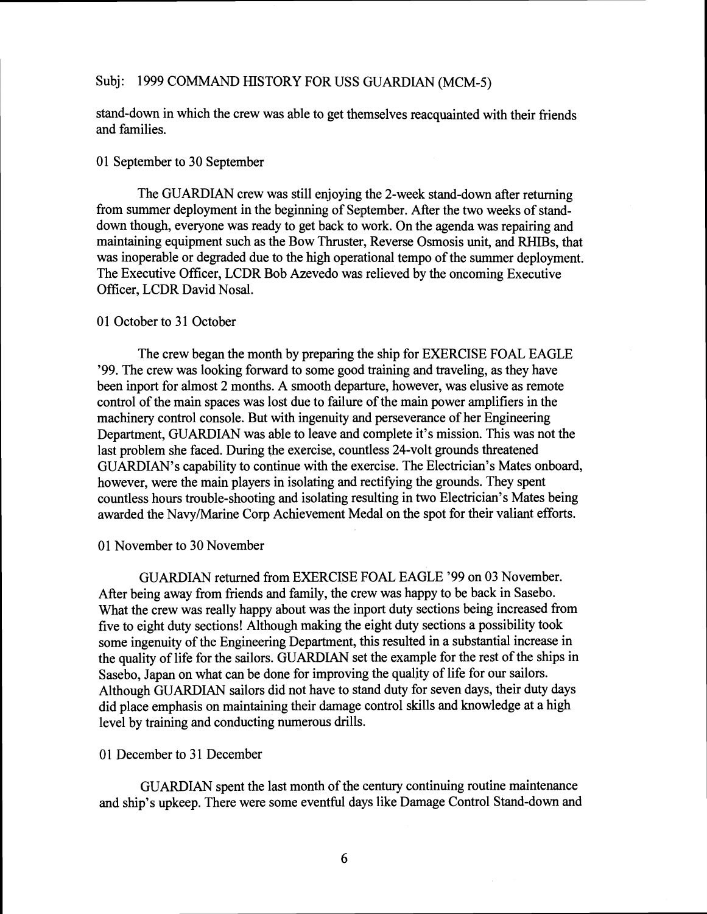stand-down in which the crew was able to get themselves reacquainted with their friends and families.

## 01 September to 30 September

The GUARDIAN crew was still enjoying the 2-week stand-down after returning from summer deployment in the beginning of September. After the two weeks of standdown though, everyone was ready to get back to work. On the agenda was repairing and maintaining equipment such as the Bow Thruster, Reverse Osmosis unit, and RHIBs, that was inoperable or degraded due to the high operational tempo of the summer deployment. The Executive Officer, LCDR Bob Azevedo was relieved by the oncoming Executive Officer, LCDR David Nosal.

# 01 October to 31 October

The crew began the month by preparing the ship for EXERCISE FOAL EAGLE '99. The crew was looking forward to some good training and traveling, as they have been inport for almost 2 months. A smooth departure, however, was elusive as remote control of the main spaces was lost due to failure of the main power amplifiers in the machinery control console. But with ingenuity and perseverance of her Engineering Department, GUARDIAN was able to leave and complete it's mission. This was not the last problem she faced. During the exercise, countless 24-volt grounds threatened GUARDIAN'S capability to continue with the exercise. The Electrician's Mates onboard, however, were the main players in isolating and rectifying the grounds. They spent countless hours trouble-shooting and isolating resulting in two Electrician's Mates being awarded the Navy/Marine Corp Achievement Medal on the spot for their valiant efforts.

## 01 November to 30 November

GUARDIAN returned from EXERCISE FOAL EAGLE '99 on 03 November. After being away from friends and family, the crew was happy to be back in Sasebo. What the crew was really happy about was the inport duty sections being increased from five to eight duty sections! Although making the eight duty sections a possibility took some ingenuity of the Engineering Department, this resulted in a substantial increase in the quality of life for the sailors. GUARDIAN set the example for the rest of the ships in Sasebo, Japan on what can be done for improving the quality of life for our sailors. Although GUARDIAN sailors did not have to stand duty for seven days, their duty days did place emphasis on maintaining their damage control skills and knowledge at a high level by training and conducting numerous drills.

## 01 December to 31 December

GUARDIAN spent the last month of the century continuing routine maintenance and ship's upkeep. There were some eventful days like Damage Control Stand-down and